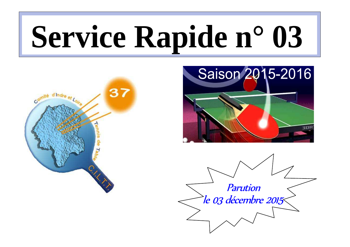# **Service Rapide n° 03**





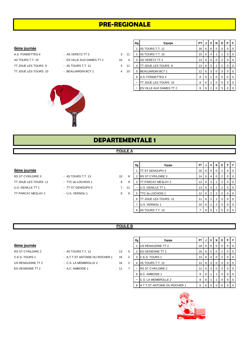# **PRE-REGIONALE**

# 6ème journée

A.S. FONDETTES 4 - AS VERETZ TT 2 3 4S TOURS T.T. 10 - ES VILLE AUX DAMES TT 2 4S TOURS T.T. 10

- 
- 
- 
- TT JOUE LES TOURS 9 4S TOURS T.T. 11 3
- TT JOUE LES TOURS 10 BEAUJARDIN BCT 1 4



|    | Rq | Equipe                  | PТ | J | ν | N        | D        | Р        | F        |
|----|----|-------------------------|----|---|---|----------|----------|----------|----------|
|    | 1  | 4S TOURS T.T. 11        | 18 | 6 | 6 | $\Omega$ | $\Omega$ | $\Omega$ | $\Omega$ |
| 11 | 2  | 4S TOURS T.T. 10        | 15 | 6 | 4 | 1        | 1        | $\Omega$ | $\Omega$ |
| 4  | 3  | AS VERETZ TT 2          | 14 | 6 | 4 | $\Omega$ | 2        | $\Omega$ | $\Omega$ |
| 11 | 4  | TT JOUE LES TOURS 9     | 13 | 6 | 3 | 1        | 2        | $\Omega$ | 0        |
| 10 | 5  | <b>BEAUJARDIN BCT 1</b> | 12 | 6 | 3 | $\Omega$ | 3        | $\Omega$ | $\Omega$ |
|    | 6  | A.S. FONDETTES 4        | 8  | 6 |   | 0        | 5        | $\Omega$ | $\Omega$ |
|    |    | TT JOUE LES TOURS 10    | 8  | 6 |   | 0        | 5        | $\Omega$ | 0        |
|    |    | ES VILLE AUX DAMES TT 2 | 8  | 6 |   | 0        | 5        | 0        | $\Omega$ |

# **DEPARTEMENTALE 1**

# **POULE A**

 $\blacksquare$ ┱

# 6ème journée

- RS ST CYR/LOIRE 3 4S TOURS T.T. 13 10 8 TT JOUE LES TOURS 11 - TTC du LOCHOIS 1 9 9 U.S. GENILLE TT 1 - TT ST GENOUPH 3 7 11 TT PARCAY MESLAY 2 - U.S. VERNOU 1 9 9
- -
	-
- 
- 

| Rg | Equipe                   | PT | J | v              | N | D | P        | F        |
|----|--------------------------|----|---|----------------|---|---|----------|----------|
|    | TT ST GENOUPH 3          | 16 | 6 | 5              | 0 | 1 | 0        | 0        |
| 2  | <b>RS ST CYR/LOIRE 3</b> | 14 | 6 | 4              | 0 | 2 | 0        | 0        |
| 3  | TT PARCAY MESLAY 2       | 13 | 6 | 3              |   | 2 | $\Omega$ | 0        |
| -  | U.S. GENILLE TT 1        | 13 | 6 | 3              |   | 2 | 0        | 0        |
| 5  | TTC du LOCHOIS 1         | 12 | 6 | 2              | 2 | 2 | 0        | $\Omega$ |
| 6  | TT JOUE LES TOURS 11     | 11 | 6 | $\overline{2}$ |   | 3 | $\Omega$ | 0        |
| 7  | U.S. VERNOU 1            | 10 | 6 | 1              | 2 | 3 | 0        | 0        |
| 8  | 4S TOURS T.T. 13         |    | 6 | 0              |   | 5 | 0        | $\Omega$ |

Т ٦

# **POULE B**

- US RENAUDINE TT 2 <sup>-</sup> C.S. LA MEMBROLLE 2 16 2 ES OESIENNE TT 2 - A.C. AMBOISE 1 11 7
- RS ST CYR/LOIRE 2 4S TOURS T.T. 12 13 5
- C.E.S. TOURS 1 A.T.T.ST ANTOINE DU ROCHER 1 16 2
	-
	-

|                   |                                |    |   | Rg | Equipe                              | PT I              | J   | V           | N I            | D I            | PIF |                          |
|-------------------|--------------------------------|----|---|----|-------------------------------------|-------------------|-----|-------------|----------------|----------------|-----|--------------------------|
| 6ème journée      |                                |    |   |    | US RENAUDINE TT 2                   | 18                |     | 66          | $\mathbf{0}$   |                |     | <b>10</b>                |
| RS ST CYR/LOIRE 2 | - 4S TOURS T.T. 12             | 13 | 5 |    | <b>IES OESIENNE TT 2</b>            | 16                | 6   | 5           |                |                |     | I 0                      |
| C.E.S. TOURS 1    | - A.T.T.ST ANTOINE DU ROCHER 1 | 16 | 2 | 3  | <b>C.E.S. TOURS 1</b>               | 14                | 6   | 4           | $\mathbf{0}$   | 2 <sup>1</sup> |     | $\overline{\phantom{0}}$ |
| US RENAUDINE TT 2 | - C.S. LA MEMBROLLE 2          | 16 | 2 |    | 4 4 5 TOURS T.T. 12                 | $12 \overline{ }$ |     | 6 3         | $\overline{0}$ | 3 I            |     | $\overline{0}$           |
| ES OESIENNE TT 2  | - A.C. AMBOISE 1               | 11 |   |    | <b>RS ST CYR/LOIRE 2</b>            | 12                | 6 I | 3 I         | $\overline{0}$ | 3 I            |     | <b>10</b>                |
|                   |                                |    |   |    | 6 A.C. AMBOISE 1                    | 9                 | 6   |             |                | 4              |     | I 0                      |
|                   |                                |    |   |    | <b>C.S. LA MEMBROLLE 2</b>          | 9                 | 6   |             |                | 4              |     | I 0                      |
|                   |                                |    |   | 8  | <b>A.T.T.ST ANTOINE DU ROCHER 1</b> | 6                 | 6 I | $\mathbf 0$ |                | 6 I            |     | $\overline{\phantom{0}}$ |

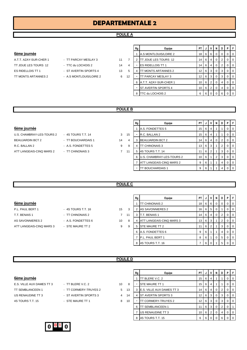# **DEPARTEMENTALE 2**

# **POULE A**

# 6ème journée

A.T.T. AZAY-SUR-CHER 1 - TT PARCAY MESLAY 3 11 TT JOUE LES TOURS 12 - TTC du LOCHOIS 2 14 ES RIDELLOIS TT 1 - ST AVERTIN SPORTS 4 13 TT MONTS ARTANNES 2 - A.S MONTLOUIS/LOIRE 2 6

- 
- -

|    | Rg | Equipe                     | PT | J | v              | N        | D | Ρ        | F        |
|----|----|----------------------------|----|---|----------------|----------|---|----------|----------|
|    |    | A.S MONTLOUIS/LOIRE 2      | 18 | 6 | 6              | $\Omega$ | 0 | 0        | $\Omega$ |
|    | 2  | TT JOUE LES TOURS 12       | 14 | 6 | 4              | $\Omega$ | 2 | $\Omega$ | $\Omega$ |
| 4  |    | <b>ES RIDELLOIS TT 1</b>   | 14 | 6 | 4              | $\Omega$ | 2 | $\Omega$ | $\Omega$ |
| 5  | 4  | TT MONTS ARTANNES 2        | 12 | 6 | 3              | $\Omega$ | 3 | $\Omega$ | $\Omega$ |
| 12 |    | TT PARCAY MESLAY 3         | 12 | 6 | 3              | $\Omega$ | 3 | $\Omega$ | $\Omega$ |
|    | 6  | A.T.T. AZAY-SUR-CHER 1     | 10 | 6 | $\overline{2}$ | $\Omega$ | 4 | 0        | $\Omega$ |
|    |    | <b>ST AVERTIN SPORTS 4</b> | 10 | 6 | 2              | 0        | 4 | $\Omega$ | $\Omega$ |
|    | 8  | TTC du LOCHOIS 2           | 6  | 6 | 0              | $\Omega$ | 6 | 0        | $\Omega$ |

# **POULE B**

# **6ème journée**

- U.S. CHAMBRAY-LES-TOURS 2 4S TOURS T.T. 14 3 15 BEAUJARDIN BCT 2 - TT BOUCHARDAIS 1 34 R.C. BALLAN 2 - A.S. FONDETTES 5 9 ATT LANGEAIS-CINQ MARS 2 - TT CHINONAIS 3 7 1
- 

|                | Rg | Equipe                    | PT | J | v | N        | D | P | F        |
|----------------|----|---------------------------|----|---|---|----------|---|---|----------|
|                |    | A.S. FONDETTES 5          | 15 | 6 | 4 |          |   | 0 | 0        |
| 15             | -  | R.C. BALLAN 2             | 15 | 6 | 4 |          |   | 0 | 0        |
| $\overline{4}$ | 3  | <b>BEAUJARDIN BCT 2</b>   | 14 | 6 | 4 | $\Omega$ | 2 | 0 | 0        |
| 9              | 4  | TT CHINONAIS 3            | 13 | 6 | 3 |          | 2 | 0 | $\Omega$ |
| 11             | 5  | 4S TOURS T.T. 14          | 11 | 6 | 2 |          | 3 | O | $\Omega$ |
|                | 6  | U.S. CHAMBRAY-LES-TOURS 2 | 10 | 6 | 1 | 2        | 3 | O | $\Omega$ |
|                | 7  | ATT LANGEAIS-CINQ MARS 2  | 9  | 6 | 1 |          | 4 | ი | $\Omega$ |
|                |    | TT BOUCHARDAIS 1          | 9  | 6 | 4 |          | 4 |   | O        |

# **POULE C**

|                          |                    |         | Rg | Equipe                          | <b>PT</b> |   |   |                | NDI | PIF         |                |
|--------------------------|--------------------|---------|----|---------------------------------|-----------|---|---|----------------|-----|-------------|----------------|
| 6ème journée             |                    |         |    | <b>ITT CHINONAIS 2</b>          | 18        | 6 | 6 | $\overline{0}$ |     | $\Omega$    | $\overline{0}$ |
| P.L. PAUL BERT 1         | - 4S TOURS T.T. 16 | 15<br>3 |    | 2 AS SAVONNIERES 2              | 16        | 6 | 5 |                |     | 0           | $\overline{0}$ |
| T.T. BENAIS 1            | - TT CHINONAIS 2   | 11      |    | T.T. BENAIS 1                   | 14        | 6 |   |                |     | $\Omega$    | $\overline{0}$ |
| AS SAVONNIERES 2         | - A.S. FONDETTES 6 | 10<br>8 |    | <b>ATT LANGEAIS-CINQ MARS 3</b> | 13        | 6 | 3 |                |     | 0           | $\overline{0}$ |
| ATT LANGEAIS-CINQ MARS 3 | - STE MAURE TT 2   | 9<br>9  |    | 5 ISTE MAURE TT 2               | 11        | 6 | C |                | 3   | 0           | $\overline{0}$ |
|                          |                    |         |    | 6 A.S. FONDETTES 6              | 9         |   |   |                | 4   | 0           | $\overline{0}$ |
|                          |                    |         |    | <b>IP.L. PAUL BERT 1</b>        | 8         | 6 |   | $\overline{0}$ | 5   | $\mathbf 0$ | $\overline{0}$ |

# **POULE D**

# 6ème journée

E.S. VILLE AUX DAMES TT 3 - TT BLERE V.C. 2 10 TT SEMBLANCEEN 1 - TT CORMERY-TRUYES 2 5 13 US RENAUDINE TT 3 - ST AVERTIN SPORTS 3 4 14 4S TOURS T.T. 15 - STE MAURE TT 1 8 10

| - II DLEKE V.U. Z     |
|-----------------------|
| - TT CORMERY-TRUYES 2 |

| 1 |  |  |  |
|---|--|--|--|
|   |  |  |  |
|   |  |  |  |

|          | Rg | Equipe                    | PT | J |   | N | D              | P        | F        |
|----------|----|---------------------------|----|---|---|---|----------------|----------|----------|
|          | 1  | TT BLERE V.C. 2           | 15 | 6 | 4 | 1 |                | 0        | 0        |
| 8        |    | STE MAURE TT 1            | 15 | 6 | 4 | 1 |                | 0        | 0        |
| 3        | 3  | E.S. VILLE AUX DAMES TT 3 | 14 | 6 | 4 | 0 | 2              | $\Omega$ | 0        |
| 4        | 4  | ST AVERTIN SPORTS 3       | 12 | 6 | 3 | 0 | 3              | $\Omega$ | 0        |
| $\Omega$ |    | TT CORMERY-TRUYES 2       | 12 | 6 | 3 | 0 | 3              | $\Omega$ | $\Omega$ |
|          | 6  | TT SEMBLANCEEN 1          | 11 | 6 | 3 | 0 | $\overline{2}$ | $\Omega$ | 1        |
|          | 7  | US RENAUDINE TT 3         | 10 | 6 | 2 | 0 | 4              | $\Omega$ | 0        |
|          | 8  | 4S TOURS T.T. 15          | 6  | 6 |   |   | 6              | 0        | 0        |

8 4S TOURS T.T. 16 7 6 0 1 5 0

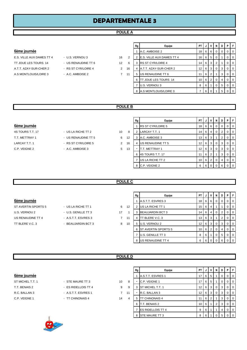# **DEPARTEMENTALE 3**

# **POULE A**

## 6ème journée

TT JOUE LES TOURS 14 - US RENAUDINE TT 6 12 A.T.T. AZAY-SUR-CHER 2 - RS ST CYR/LOIRE 4 2 A.S MONTLOUIS/LOIRE 3 - A.C. AMBOISE 2 7

- E.S. VILLE AUX DAMES TT 4 U.S. VERNOU 3 16
	-

|                | Rg | Equipe                    | PT | J | v | N | D        | P        | F        |
|----------------|----|---------------------------|----|---|---|---|----------|----------|----------|
|                | 1  | A.C. AMBOISE 2            | 18 | 6 | 6 | 0 | $\Omega$ | $\Omega$ | $\Omega$ |
| $\overline{2}$ | 2  | E.S. VILLE AUX DAMES TT 4 | 16 | 6 | 5 | 0 | 1        | $\Omega$ | $\Omega$ |
| 6              | 3  | <b>RS ST CYR/LOIRE 4</b>  | 14 | 6 | 3 | 2 | 1        | $\Omega$ | 0        |
| 16             | 4  | A.T.T. AZAY-SUR-CHER 2    | 12 | 6 | 3 | 0 | 3        | $\Omega$ | $\Omega$ |
| 11             | 5  | US RENAUDINE TT 6         | 11 | 6 | 2 | 1 | 3        | 0        | 0        |
|                | 6  | TT JOUE LES TOURS 14      | 10 | 6 | 2 | 0 | 4        | 0        | 0        |
|                | 7  | U.S. VERNOU 3             | 8  | 6 |   | 0 | 5        | 0        | 0        |
|                | 8  | A.S MONTLOUIS/LOIRE 3     | 7  | 6 | O |   | 5        | $\Omega$ | 0        |

# **POULE B**

# 6ème journée

4S TOURS T.T. 17 - US LA RICHE TT 2 10 8

6ème journée

T.T. METTRAY 1 - US RENAUDINE TT 5 6 12 LARCAY T.T. 1 - RS ST CYR/LOIRE 5 2 16 C.P. VEIGNE 2 - A.C. AMBOISE 3 5 13

ST AVERTIN SPORTS 5 - US LA RICHE TT 1 6 U.S. VERNOU 2 - U.S. GENILLE TT 3 17 US RENAUDINE TT 4 - A.S.T.T. ESVRES 3 7 TT BLERE V.C. 3 **BEAUJARDIN BCT 3** 8

| 10 |  |
|----|--|
| G  |  |

| ۰.<br>× |
|---------|
|         |
|         |

| Rg             | Equipe                   | PT |   | v              | N        | D | Ρ | F        |
|----------------|--------------------------|----|---|----------------|----------|---|---|----------|
| 1              | <b>RS ST CYR/LOIRE 5</b> | 18 | 6 | 6              | 0        | O | O | 0        |
| 2              | LARCAY T.T. 1            | 14 | 6 | 4              | $\Omega$ | 2 | 0 | $\Omega$ |
| 3              | A.C. AMBOISE 3           | 13 | 6 | 3              | 1        | 2 | 0 | O        |
| 4              | US RENAUDINE TT 5        | 12 | 6 | 3              | 0        | 3 | 0 | 0        |
| $\blacksquare$ | <b>T.T. METTRAY 1</b>    | 12 | 6 | 3              | 0        | 3 | O | $\Omega$ |
| 6              | 4S TOURS T.T. 17         | 11 | 6 | $\overline{2}$ |          | 3 | 0 | O        |
| 7              | US LA RICHE TT 2         | 10 | 6 | 2              | $\Omega$ | 4 | O | 0        |
| 8              | C.P. VEIGNE 2            | 6  | 6 | $\Omega$       | ŋ        | 6 |   | ∩        |

## **POULE C**

|    | Rg | Equipe                     | PT | J | v        | N        | D | P | F        |
|----|----|----------------------------|----|---|----------|----------|---|---|----------|
|    | 1  | A.S.T.T. ESVRES 3          | 18 | 6 | 6        | $\Omega$ | 0 | 0 | $\Omega$ |
| 12 | 2  | US LA RICHE TT 1           | 15 | 6 | 4        | 1        |   | 0 | 0        |
| 1  | 3  | <b>BEAUJARDIN BCT 3</b>    | 14 | 6 | 4        | $\Omega$ | 2 | 0 | 0        |
| 11 | 4  | <b>TT BLERE V.C. 3</b>     | 13 | 6 | 3        | 1        | 2 | 0 | 0        |
| 10 | 5  | U.S. VERNOU 2              | 12 | 6 | 3        | $\Omega$ | 3 | 0 | 0        |
|    | 6  | <b>ST AVERTIN SPORTS 5</b> | 10 | 6 | 2        | $\Omega$ | 4 | 0 | 0        |
|    | 7  | U.S. GENILLE TT 3          | 8  | 6 | 1        | $\Omega$ | 5 | O | $\Omega$ |
|    | 8  | US RENAUDINE TT 4          | 6  | 6 | $\Omega$ | $\Omega$ | 6 | 0 | 0        |

## **POULE D**

| 6ème <u>journee</u> |
|---------------------|
|                     |





- 
- 
- 

|                  |                     |                   | Rg | Equipe                    | PT I            | J   | V   | N            | D | PF             |
|------------------|---------------------|-------------------|----|---------------------------|-----------------|-----|-----|--------------|---|----------------|
| 6ème journée     |                     |                   |    | A.S.T.T. ESVRES 1         | 17              | 6   | 5   |              | 0 | $0$   $0$      |
| ST MICHEL T.T. 1 | - STE MAURE TT 3    | 10<br>8           |    | C.P. VEIGNE 1             | 17              | 6   | -5  |              | 0 | 0 <sub>0</sub> |
| T.T. BENAIS 2    | - ES RIDELLOIS TT 4 | 9<br>9            | 3  | <b>ST MICHEL T.T. 1</b>   | 12 <sub>1</sub> | 6 I | - 3 | 0            | 3 | $0$   $0$      |
| R.C. BALLAN 3    | - A.S.T.T. ESVRES 1 | $7^{\circ}$<br>11 |    | R.C. BALLAN 3             | 12 <sub>1</sub> |     | 6 3 | $\mathbf{0}$ | 3 | 0 <sub>0</sub> |
| C.P. VEIGNE 1    | - TT CHINONAIS 4    | 14<br>4           | 5  | <b>TT CHINONAIS 4</b>     | 11              | 6   | -2  |              | 3 | $0$   0        |
|                  |                     |                   | 6  | T.T. BENAIS 2             | 10 <sup>1</sup> | 6   |     | 2            | 3 | $01$ 0         |
|                  |                     |                   |    | <b>IES RIDELLOIS TT 4</b> | 9               | 6   |     |              | 4 | $01$ 0         |
|                  |                     |                   |    | 8 STE MAURE TT 3          | 8               | 6   |     | $\mathbf{0}$ | 5 | $0$   $0$      |

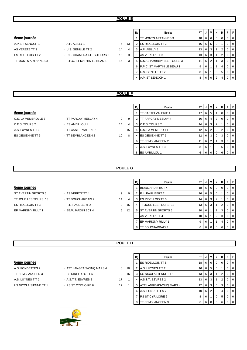# **POULE E**

## **6ème journée**

| A.P. ST SENOCH 1    | - A.P. ABILLY 1              |     | $\mathbf{1}$ |
|---------------------|------------------------------|-----|--------------|
| AS VERETZ TT 3      | - U.S. GENILLE TT 2          | 14  |              |
| ES RIDELLOIS TT 2   | - U.S. CHAMBRAY-LES-TOURS 3  | 15. |              |
| TT MONTS ARTANNES 3 | - P.P.C. ST MARTIN LE BEAU 1 | 15  |              |
|                     |                              |     |              |

|                     |                              |    |    | Rg | Equipe                       | PT I            | J | $\mathsf{I} \mathsf{v}$ | N        | D | PIF            |
|---------------------|------------------------------|----|----|----|------------------------------|-----------------|---|-------------------------|----------|---|----------------|
| 6ème journée        |                              |    |    |    | <b>ITT MONTS ARTANNES 3</b>  | 18 I            |   | 66                      | 0        |   | 0 <sub>0</sub> |
| A.P. ST SENOCH 1    | $-$ A.P. ABILLY 1            | 5  | 13 |    | <b>ES RIDELLOIS TT 2</b>     | 16 I            |   | 65                      | $\Omega$ |   | 0 <sub>0</sub> |
| AS VERETZ TT 3      | - U.S. GENILLE TT 2          | 14 | 4  | 3  | A.P. ABILLY 1                | 13 <sup>1</sup> |   | 6 3                     |          | 2 | I O            |
| ES RIDELLOIS TT 2   | - U.S. CHAMBRAY-LES-TOURS 3  | 15 | 3  | ۰  | AS VERETZ TT 3               | 13 <sup>1</sup> |   | 6 3                     |          | 2 | 0 <sub>0</sub> |
| TT MONTS ARTANNES 3 | - P.P.C. ST MARTIN LE BEAU 1 | 15 | 3  |    | 5 U.S. CHAMBRAY-LES-TOURS 3  | 11 <sup>1</sup> |   | 6 2                     |          | 3 | I O            |
|                     |                              |    |    |    | 6 P.P.C. ST MARTIN LE BEAU 1 | 9               | 6 |                         |          | 4 | I O            |
|                     |                              |    |    |    | U.S. GENILLE TT 2            | 8               | 6 |                         | 0        | 5 | 0 <sub>0</sub> |
|                     |                              |    |    | ۰  | A.P. ST SENOCH 1             | 8               |   | 6 I O                   |          |   | 0 <sub>0</sub> |

# **POULE F**

- C.E.S. TOURS 2 ES AMBILLOU 1 14 4 3 C.E.S. TOURS 2 14 6 3 2 1 0 0 A.S. LUYNES T.T 3 - TT CASTELVALERIE 1 3 15
- ES OESIENNE TT 3 TT SEMBLANCEEN 2 10 8
- C.S. LA MEMBROLLE 3 TT PARCAY MESLAY 4 9 9
	- -

|                     |                      |    |    | Rg | Equipe                     | PT I            | J   | 1 V I | <b>N</b>       | D | PF             |                |
|---------------------|----------------------|----|----|----|----------------------------|-----------------|-----|-------|----------------|---|----------------|----------------|
| 6ème journée        |                      |    |    |    | <b>TT CASTELVALERIE 1</b>  | 17 <sub>1</sub> | 6 I | 5     |                |   |                | 0 <sup>1</sup> |
| C.S. LA MEMBROLLE 3 | - TT PARCAY MESLAY 4 | 9  | 9  |    | <b>TT PARCAY MESLAY 4</b>  | 16 I            | 6 I | 4     | 2              |   |                | $01$ 0         |
| C.E.S. TOURS 2      | - ES AMBILLOU 1      | 14 | 4  | 3  | C.E.S. TOURS 2             | 14 <sup>1</sup> |     | 6 3   | $\overline{2}$ |   | $\overline{0}$ | $\overline{0}$ |
| A.S. LUYNES T.T 3   | - TT CASTELVALERIE 1 | 3  | 15 |    | <b>C.S. LA MEMBROLLE 3</b> | 12 <sub>1</sub> |     | 6 2   | 2              | 2 |                | $01$ 0         |
| ES OESIENNE TT 3    | - TT SEMBLANCEEN 2   | 10 | 8  |    | <b>IES OESIENNE TT 3</b>   | 12 <sub>1</sub> |     | 6 3   | 0              | 3 | $\overline{0}$ | $\overline{0}$ |
|                     |                      |    |    | 6  | <b>TT SEMBLANCEEN 2</b>    |                 | 6   | 2     |                | 3 | $\overline{0}$ | $\overline{0}$ |
|                     |                      |    |    |    | A.S. LUYNES T.T 3          | 8               | 6 I |       | 0              | 5 |                | $01$ 0         |
|                     |                      |    |    |    | 8 ES AMBILLOU 1            | 6               | 6 I |       |                | 6 |                | $01$ 0         |

# **POULE G**

# 6ème journée

- ST AVERTIN SPORTS 6 AS VERETZ TT 4 9 ES RIDELLOIS TT 3 - P.L. PAUL BERT 2 3 15 4 TT 3 4 TT 3 4 TT 3 4 TT JOUE DERT 2 EP MARIGNY RILLY 1 - BEAUJARDIN BCT 4 6 1
- TT JOUE LES TOURS 13 TT BOUCHARDAIS 2 14
	-
	-

|                | Rg             | Equipe                   | PT | J | v | N              | D | P | F        |
|----------------|----------------|--------------------------|----|---|---|----------------|---|---|----------|
|                |                | <b>BEAUJARDIN BCT 4</b>  | 18 | 6 | 6 | 0              | 0 | O | $\Omega$ |
| 9              | $\overline{2}$ | P.L. PAUL BERT 2         | 16 | 6 | 5 | $\Omega$       |   | ი | 0        |
| $\overline{4}$ | 3              | <b>ES RIDELLOIS TT 3</b> | 14 | 6 | 3 | 2              | 1 | ი | $\Omega$ |
| 15             | 4              | TT JOUE LES TOURS 13     | 13 | 6 | 3 |                | 2 | O | $\Omega$ |
| 12             | 5              | ST AVERTIN SPORTS 6      | 10 | 6 | 1 | 2              | 3 | O | $\Omega$ |
|                |                | AS VERETZ TT 4           | 10 | 6 | 1 | $\overline{2}$ | 3 | O | $\Omega$ |
|                | 7              | EP MARIGNY RILLY 1       | 9  | 6 | 1 |                | 4 | O | $\Omega$ |
|                | 8              | TT BOUCHARDAIS 2         | 6  | 6 | Ω | O              | 6 |   |          |

# **POULE H**

| <b>6</b> eme journee |
|----------------------|
|                      |

| A.S. FONDETTES 7 | - ATT LANGEAIS-CINQ MARS 4 |  |
|------------------|----------------------------|--|
| TT SEMBLANCEEN 3 | - ES RIDELLOIS TT 5        |  |

- 
- 

|                       |                            |    |    | Rg | Equipe                    | <b>PT</b>       | J   | V            | N        | D                    | PF        |
|-----------------------|----------------------------|----|----|----|---------------------------|-----------------|-----|--------------|----------|----------------------|-----------|
| 6ème journée          |                            |    |    |    | <b>IES RIDELLOIS TT 5</b> | 18 I            | 6 I | - 6          | 0        | $\Omega$             | $0$   $0$ |
| A.S. FONDETTES 7      | - ATT LANGEAIS-CINQ MARS 4 | 8  | 10 |    | A.S. LUYNES T.T 2         | 16 I            | 6   | - 5          | 0        |                      | $0$   $0$ |
| TT SEMBLANCEEN 3      | - ES RIDELLOIS TT 5        | 2  | 16 | 3  | US NICOLAISIENNE TT 1     | 13 <sup>1</sup> | 6   | -3           |          | 2                    | $0$   $0$ |
| A.S. LUYNES T.T 2     | - A.S.T.T. ESVRES 2        | 17 |    |    | A.S.T.T. ESVRES 2         | 13 <sup>1</sup> | 6   | -3           |          | $\mathbf{2}^{\circ}$ | $0$   $0$ |
| US NICOLAISIENNE TT 1 | - RS ST CYR/LOIRE 6        | 17 |    | 5  | ATT LANGEAIS-CINQ MARS 4  | 12 <sub>1</sub> | 6   | - 3          | 0        | 3                    | $01$ 0    |
|                       |                            |    |    |    | 6 A.S. FONDETTES 7        | 10 I            | 6   | $^{\circ}$ 2 | 0        |                      | $01$ 0    |
|                       |                            |    |    |    | <b>RS ST CYR/LOIRE 6</b>  | 8               | 6   |              | 0        | 5                    | $0$   0   |
|                       |                            |    |    | 8  | <b>TT SEMBLANCEEN 3</b>   | 6               | 6   |              | $\Omega$ | 6                    | $0$   $0$ |

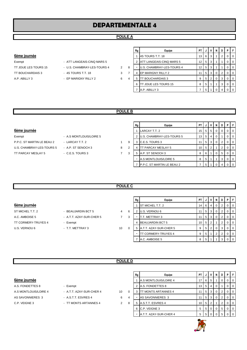# **DEPARTEMENTALE 4**

# **POULE A**

# 6ème journée

TT BOUCHARDAIS 3 - 4S TOURS T.T. 18 3 A.P. ABILLY 3 - EP MARIGNY RILLY 2 6

- Exempt ATT LANGEAIS-CINQ MARS 5
- TT JOUE LES TOURS 15 U.S. CHAMBRAY-LES-TOURS 4 2
	-
	-

|                | Rg | Equipe                    | PT |   | ν              | N        | D              | P        | F        |
|----------------|----|---------------------------|----|---|----------------|----------|----------------|----------|----------|
|                |    | 4S TOURS T.T. 18          | 13 | 6 | 3              | 1        | 2              | $\Omega$ | $\Omega$ |
|                | 2  | ATT LANGEAIS-CINQ MARS 5  | 12 | 5 | 3              | 1        | 1              | 0        | $\Omega$ |
| 8              |    | U.S. CHAMBRAY-LES-TOURS 4 | 12 | 5 | 3              | 1        | 1              | 0        | $\Omega$ |
| $\overline{7}$ | 4  | EP MARIGNY RILLY 2        | 11 | 5 | 3              | $\Omega$ | $\overline{2}$ | $\Omega$ | $\Omega$ |
| $\overline{4}$ | 5  | TT BOUCHARDAIS 3          | 9  | 5 | $\overline{2}$ | $\Omega$ | 3              | $\Omega$ | $\Omega$ |
|                | 6  | TT JOUE LES TOURS 15      | 8  | 5 |                |          | 3              | 0        | $\Omega$ |
|                | 7  | A.P. ABILLY 3             |    | 5 |                | 0        | 4              | 0        | $\Omega$ |

# **POULE B**

# **6ème journée**

Exempt - A.S MONTLOUIS/LOIRE 5 P.P.C. ST MARTIN LE BEAU 2 - LARCAY T.T. 2 1 9 U.S. CHAMBRAY-LES-TOURS 5 - A.P. ST SENOCH 3 8 2 TT PARCAY MESLAY 5 - C.E.S. TOURS 3 5 4 5 4 5 4 5 4 5 4 5 A.P. ST SENARC 4 5 A.P. ST ST ST ST ST ST ST ST ST S

|   |                | LARCAY T.T. 2              | 15 | 5 | 5 | 0        | 0 |   | $\Omega$ |
|---|----------------|----------------------------|----|---|---|----------|---|---|----------|
|   | $\overline{2}$ | U.S. CHAMBRAY-LES-TOURS 5  | 13 | 5 | 4 | $\Omega$ |   | 0 | $\Omega$ |
| Э | 3              | C.E.S. TOURS 3             | 11 | 5 | 3 | $\Omega$ | 2 | 0 | $\Omega$ |
| 2 | 4              | <b>ITT PARCAY MESLAY 5</b> | 10 | 5 | 2 |          | 2 | 0 | $\Omega$ |
| 3 | 5              | A.P. ST SENOCH 3           | 8  | 6 |   | 0        | 5 | 0 | $\Omega$ |
|   |                | A.S MONTLOUIS/LOIRE 5      | 8  | 5 |   |          | 3 | 0 | $\Omega$ |
|   |                | P.P.C. ST MARTIN LE BEAU 2 |    | 5 |   | 0        | 4 | 0 | $\Omega$ |

Rg **PT | J | V | N | D | P | F** 

# **POULE C**

| 6ème journée        |                          |    |    |
|---------------------|--------------------------|----|----|
| ST MICHEL T.T. 2    | - BEAUJARDIN BCT 5       |    | 6  |
| A.C. AMBOISE 5      | - A.T.T. AZAY-SUR-CHER 5 |    | -3 |
| TT CORMERY-TRUYES 4 | - Exempt                 |    |    |
| U.S. VERNOU 6       | - T.T. METTRAY 3         | 10 | 0  |

|                     |                          |    |          | Rg | Equipe                  | PT I            | J | $\mathsf{v}$      | N              | D | PIF      |          |
|---------------------|--------------------------|----|----------|----|-------------------------|-----------------|---|-------------------|----------------|---|----------|----------|
| 6ème journée        |                          |    |          |    | <b>ST MICHEL T.T. 2</b> | 14              |   | 6   4             | $\Omega$       | 2 |          | $01$ 0   |
| ST MICHEL T.T. 2    | - BEAUJARDIN BCT 5       | 4  | 6        |    | U.S. VERNOU 6           |                 |   | 5 3               | - 0            | 2 |          | $01$ 0   |
| A.C. AMBOISE 5      | - A.T.T. AZAY-SUR-CHER 5 |    | 3        |    | T.T. METTRAY 3          |                 |   | $5 \mid 3 \mid 0$ |                | 2 |          | $01$ 0   |
| TT CORMERY-TRUYES 4 | - Exempt                 |    |          |    | <b>BEAUJARDIN BCT 5</b> | 10 <sup>1</sup> | 5 | $^{\prime}$ 2.    |                | 2 | $\Omega$ | <b>0</b> |
| U.S. VERNOU 6       | - T.T. METTRAY 3         | 10 | $\Omega$ | 5  | A.T.T. AZAY-SUR-CHER 5  | 9               |   | $5 \mid 2 \mid$   | $\overline{0}$ | 3 |          | $01$ 0   |
|                     |                          |    |          |    | TT CORMERY-TRUYES 4     | 9               | 5 |                   |                | 2 |          | $01$ 0   |
|                     |                          |    |          |    | A.C. AMBOISE 5          | 8               | 5 |                   |                | 3 |          | $01$ 0   |

# **POULE D**

- A.S. FONDETTES 8 Exempt A.S MONTLOUIS/LOIRE 4 - A.T.T. AZAY-SUR-CHER 4 10 AS SAVONNIERES 3 - A.S.T.T. ESVRES 4 6 C.P. VEIGNE 3 - TT MONTS ARTANNES 4 2
	- -
	- -

|                       |                          |    |   | Rg | Equipe                     | <b>PT</b> |                | $\mathsf{v}$   | N            | D              | PIF |                  |
|-----------------------|--------------------------|----|---|----|----------------------------|-----------|----------------|----------------|--------------|----------------|-----|------------------|
| 6ème journée          |                          |    |   |    | A.S MONTLOUIS/LOIRE 4      |           | 6              | -5             |              |                |     | <b>10</b>        |
| A.S. FONDETTES 8      | - Exempt                 |    |   |    | 2 A.S. FONDETTES 8         | 13        | 5              | $\overline{4}$ |              |                |     | $\overline{1}0$  |
| A.S MONTLOUIS/LOIRE 4 | - A.T.T. AZAY-SUR-CHER 4 | 10 | 0 | 3  | <b>TT MONTS ARTANNES 4</b> |           | 5              | 3              | $\mathbf{0}$ | 2              |     | $\overline{1}$ 0 |
| AS SAVONNIERES 3      | - A.S.T.T. ESVRES 4      | 6  | 4 |    | AS SAVONNIERES 3           |           | 5              | l 3 l          | $\Omega$     | 2              |     | $\overline{0}$   |
| C.P. VEIGNE 3         | - TT MONTS ARTANNES 4    | 2  | 8 |    | 5 A.S.T.T. ESVRES 4        | 10        | 5 <sup>1</sup> | -2             |              |                |     | I 0              |
|                       |                          |    |   |    | 6 C.P. VEIGNE 3            | 5         |                |                | 5 0 0        | 5 <sup>1</sup> |     | $\overline{0}$   |
|                       |                          |    |   |    | A.T.T. AZAY-SUR-CHER 4     | 5         |                | 5 0            |              | 5              |     | $\overline{0}$   |

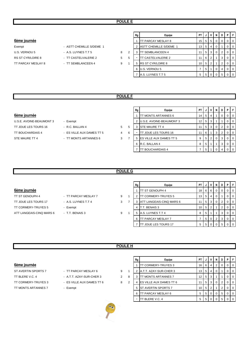# **POULE E**

## 6ème journée

| Exempt                   |  |
|--------------------------|--|
| U.S. VERNOU 5            |  |
| <b>RS ST CYR/LOIRE 8</b> |  |
| TT PARCAY MESLAY 8       |  |

| - ASTT CHEMILLE S/DEME 1 |  |
|--------------------------|--|
| - A.S. LUYNES T.T 5      |  |
| - TT CASTELVALERIE 2     |  |
| - TT SEMBLANCEEN 4       |  |

|                    |                          |   |   | Rg | Equipe                     | PT.             | J              | VIN               |          | D  | PIF |                |
|--------------------|--------------------------|---|---|----|----------------------------|-----------------|----------------|-------------------|----------|----|-----|----------------|
| 6ème journée       |                          |   |   |    | <b>ITT PARCAY MESLAY 8</b> | 15 <sup>1</sup> |                | $5 \mid 5 \mid 0$ |          |    |     | 0 <sub>0</sub> |
| Exempt             | - ASTT CHEMILLE S/DEME 1 |   |   |    | ASTT CHEMILLE S/DEME 1     | 13              |                | $5 \mid 4 \mid$   |          |    |     | $\overline{0}$ |
| U.S. VERNOU 5      | - A.S. LUYNES T.T 5      | 8 |   |    | <b>ITT SEMBLANCEEN 4</b>   |                 |                | $5 \mid 3 \mid 0$ |          |    |     | 0 <sub>1</sub> |
| RS ST CYR/LOIRE 8  | - TT CASTELVALERIE 2     | 5 | 5 |    | TT CASTELVALERIE 2         |                 | 6              | -2                |          | 3  |     | 0 <sub>0</sub> |
| TT PARCAY MESLAY 8 | - TT SEMBLANCEEN 4       | 9 |   | 5  | <b>RS ST CYR/LOIRE 8</b>   | 10 <sup>1</sup> |                | 5 2               |          |    |     | 0 <sup>1</sup> |
|                    |                          |   |   | 6  | U.S. VERNOU 5              |                 | 5 <sub>1</sub> |                   | 0        | 4  |     | 0 <sub>0</sub> |
|                    |                          |   |   |    | A.S. LUYNES T.T 5          | 5               |                | 5 0               | $\Omega$ | -5 |     | 0 <sub>0</sub> |

# **POULE F**

# 6ème journée

U.S.E. AVOINE-BEAUMONT 3 - Exempt TT JOUE LES TOURS 16 - R.C. BALLAN 4 5 TT BOUCHARDAIS 4 - ES VILLE AUX DAMES TT 5 4 STE MAURE TT 4 FILMONTS ARTANNES 6 3

- -
	-
	-

|   | Rg | Equipe                   | PT | J | v              | N | D | Р | F            |
|---|----|--------------------------|----|---|----------------|---|---|---|--------------|
|   | 1  | TT MONTS ARTANNES 6      | 14 | 5 | 4              |   | O | O | 0            |
|   | 2  | U.S.E. AVOINE-BEAUMONT 3 | 12 | 5 | 3              |   |   | O | 0            |
| 5 | 3  | <b>STE MAURE TT 4</b>    | 11 | 5 | 3              | 0 | 2 | 0 | O            |
| 6 |    | TT JOUE LES TOURS 16     | 11 | 6 | 1              | 3 | 2 |   |              |
| 7 | 5  | ES VILLE AUX DAMES TT 5  | 9  | 5 | $\overline{2}$ | 0 | 3 | O | <sup>0</sup> |
|   | 6  | R.C. BALLAN 4            | 8  | 5 | 1              |   | 3 | ŋ | O            |
|   |    | TT BOUCHARDAIS 4         |    | 5 |                |   |   |   |              |

# **POULE G**

# 6ème journée

TT JOUE LES TOURS 17 - A.S. LUYNES T.T 4 3 TT CORMERY-TRUYES 5 - Exempt ATT LANGEAIS-CINQ MARS 6 - T.T. BENAIS 3 9

- TT ST GENOUPH 4 TT PARCAY MESLAY 7 9
	-
	-

|                | Rg | Equipe                      | PT |   | v        | N | D              | Р |  |
|----------------|----|-----------------------------|----|---|----------|---|----------------|---|--|
|                |    | <b>ITT ST GENOUPH 4</b>     | 18 | 6 | 6        | 0 | 0              |   |  |
| 1              | 2  | <b>ITT CORMERY-TRUYES 5</b> | 13 | 5 | 4        | 0 |                |   |  |
| $\overline{7}$ | 3  | ATT LANGEAIS-CINQ MARS 6    | 11 | 5 | 3        | 0 | $\overline{2}$ | O |  |
|                | 4  | T.T. BENAIS 3               | 10 | 5 | 2        | 1 | 2              | O |  |
| 1              | 5  | A.S. LUYNES T.T 4           | 8  | 5 | 1        |   | 3              | O |  |
|                | 6  | <b>TT PARCAY MESLAY 7</b>   | 7  | 5 | $\Omega$ | 2 | 3              |   |  |
|                |    | TT JOUE LES TOURS 17        | 5  | 5 | 0        |   | 5              |   |  |

# **POULE H**

# **6ème journée**

ST AVERTIN SPORTS 7 - TT PARCAY MESLAY 6 9 1 TT BLERE V.C. 4 - A.T.T. AZAY-SUR-CHER 3 2 8 TT CORMERY-TRUYES 3 - ES VILLE AUX DAMES TT 6 3 2 TT MONTS ARTANNES 7 - Exempt

- 
- 
- 
- 



| Rg | Equipe                  | PT |   | v              | N | D | P        | F        |
|----|-------------------------|----|---|----------------|---|---|----------|----------|
|    | TT CORMERY-TRUYES 3     | 16 | 6 | 4              | 2 | O | O        | $\Omega$ |
| 2  | A.T.T. AZAY-SUR-CHER 3  | 13 | 5 | 4              | O |   |          | $\Omega$ |
| 3  | TT MONTS ARTANNES 7     | 12 | 5 | 3              |   |   |          | $\Omega$ |
| 4  | ES VILLE AUX DAMES TT 6 | 11 | 5 | 3              | O | 2 | 0        | $\Omega$ |
| 5  | ST AVERTIN SPORTS 7     | 10 | 5 | $\overline{2}$ |   | 2 | $\Omega$ | $\Omega$ |
| 6  | TT PARCAY MESLAY 6      | 5  | 5 | ∩              | O | 5 | O        | $\Omega$ |
|    | TT BLERE V.C. 4         | 5  | 5 |                | O | 5 |          | ∩        |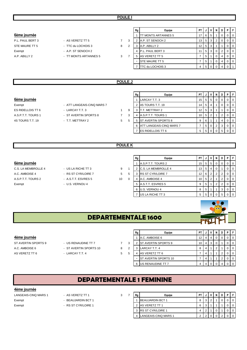# 6ème journée

P.L. PAUL BERT 3 - AS VERETZ TT 5 7 3 2 A.P. ST SENOCH 2 13 5 3 2 0 0 0 STE MAURE TT 5 - TTC du LOCHOIS 3 3 Exempt - A.P. ST SENOCH 2 A.P. ABILLY 2 **A.P. ABILLY 2 FILMONTS ARTANNES 5** 3

| Rg             | Equipe              | PT | J | ٧        | N | D        | P        | F        |
|----------------|---------------------|----|---|----------|---|----------|----------|----------|
|                | TT MONTS ARTANNES 5 | 17 | 6 | 5        | 1 | 0        | 0        | $\Omega$ |
| 2              | A.P. ST SENOCH 2    | 13 | 5 | 3        | 2 | $\Omega$ | $\Omega$ | $\Omega$ |
| 3              | A.P. ABILLY 2       | 12 | 5 | 3        | 1 | 1        | $\Omega$ | 0        |
| $\overline{4}$ | P.L. PAUL BERT 3    | 11 | 5 | 3        | 0 | 2        | $\Omega$ | $\Omega$ |
| 5              | AS VERETZ TT 5      | 7  | 5 | 1        | 0 | 4        | $\Omega$ | $\Omega$ |
| -              | STE MAURE TT 5      | 7  | 5 | 1        | 0 | 4        | $\Omega$ | $\Omega$ |
| 7              | TTC du LOCHOIS 3    | 4  | 5 | $\Omega$ | O | 4        | 0        |          |

# **POULE J**

## 6ème journée

A.S.P.T.T. TOURS 1 - ST AVERTIN SPORTS 8 7 4S TOURS T.T. 19 - T.T. METTRAY 2 5

- Exempt ATT LANGEAIS-CINQ MARS 7 ES RIDELLOIS TT 6  $-$  LARCAY T.T. 3 1
	-
- 

|   | Rg             | Equipe                     | PT | J | ۷ | N | D        | P        | F        |
|---|----------------|----------------------------|----|---|---|---|----------|----------|----------|
|   | 1              | LARCAY T.T. 3              | 15 | 5 | 5 | 0 | 0        | 0        | 0        |
|   | $\overline{2}$ | 4S TOURS T.T. 19           | 14 | 5 | 4 | 1 | $\Omega$ | $\Omega$ | 0        |
| 9 | 3              | T.T. METTRAY 2             | 12 | 5 | 3 | 1 | 1        | 0        | $\Omega$ |
| 3 | 4              | A.S.P.T.T. TOURS 1         | 10 | 5 | 2 | 1 | 2        | $\Omega$ | $\Omega$ |
| 5 | 5              | <b>ST AVERTIN SPORTS 8</b> | 9  | 6 | 1 | 1 | 4        | $\Omega$ | $\Omega$ |
|   | 6              | ATT LANGEAIS-CINQ MARS 7   | 7  | 5 | 0 | 2 | 3        | $\Omega$ | $\Omega$ |
|   |                | ES RIDELLOIS TT 6          | 5  | 5 | 0 | O | 5        |          | 0        |
|   |                |                            |    |   |   |   |          |          |          |

# **POULE K**

|                     |                     |    | Rg       | Equipe                   | PT              |                | VI.    | N | D | PF             |
|---------------------|---------------------|----|----------|--------------------------|-----------------|----------------|--------|---|---|----------------|
| 6ème journée        |                     |    |          | A.S.P.T.T. TOURS 2       | 15 I            |                | 5 5 1  |   | 0 | $01$ 0         |
| C.S. LA MEMBROLLE 4 | - US LA RICHE TT 3  | 9  |          | C.S. LA MEMBROLLE 4      | 13 <sup>1</sup> | 5              | -41    |   |   | $\overline{0}$ |
| A.C. AMBOISE 4      | - RS ST CYR/LOIRE 7 | 5  | 5        | <b>RS ST CYR/LOIRE 7</b> | 12              | 6 2            |        |   |   | $01$ 0         |
| A.S.P.T.T. TOURS 2  | - A.S.T.T. ESVRES 5 | 10 | $\Omega$ | A.C. AMBOISE 4           | 10 I            | $5 \mid 2$     |        |   |   | <b>0</b>       |
| Exempt              | - U.S. VERNOU 4     |    |          | A.S.T.T. ESVRES 5        |                 | 5 <sup>1</sup> |        |   |   | 0 1 0          |
|                     |                     |    |          | 6 U.S. VERNOU 4          |                 | 5              |        |   | 3 | $01$ 0         |
|                     |                     |    |          | US LA RICHE TT 3         | $5 -$           | 5 <sub>1</sub> | I () I |   | 5 | $01$ 0         |
|                     |                     |    |          |                          |                 |                |        |   |   |                |



# **DEPARTEMENTALE 1600**

 $\blacksquare$  $\overline{\mathbf{r}}$ 

| <b>ACITIC IQUITICE</b> |                        |  |
|------------------------|------------------------|--|
| ST AVERTIN SPORTS 9    | - US RENAUDINE TT 7    |  |
| A.C. AMBOISE 6         | - ST AVERTIN SPORTS 10 |  |

|   | A.V. AIVIDUIJL U  |
|---|-------------------|
| 3 | 2 ST AVERTIN SPOR |
|   | LARCAY T.T. 4     |
|   | (0.10077777c)     |

|                     |                        |    |   | Rg | Equipe                       |             | PTIJI |   | D | PIF |                |
|---------------------|------------------------|----|---|----|------------------------------|-------------|-------|---|---|-----|----------------|
| 4ème journée        |                        |    |   |    | A.C. AMBOISE 6               |             |       | 4 |   |     | 0 I            |
| ST AVERTIN SPORTS 9 | - US RENAUDINE TT 7    |    |   |    | <b>ST AVERTIN SPORTS 9</b>   | $10 \mid 4$ |       |   |   |     | $\mathbf 0$    |
| A.C. AMBOISE 6      | - ST AVERTIN SPORTS 10 | 8  | ≘ |    | LARCAY T.T. 4                |             |       |   |   |     | $\Omega$       |
| AS VERETZ TT 6      | - LARCAY T.T. 4        | 5. | 5 |    | AS VERETZ TT 6               |             |       |   |   |     | $\overline{0}$ |
|                     |                        |    |   |    | <b>IST AVERTIN SPORTS 10</b> |             | -4    |   |   |     | $\overline{0}$ |
|                     |                        |    |   |    | 6 US RENAUDINE TT 7          |             |       |   |   |     | $\overline{0}$ |

# **DEPARTEMENTALE 1 FEMININE**

# **4ème journée**

- LANGEAIS-CINQ MARS 1 AS VERETZ TT 1 3 7
- 
- 
- 
- Exempt BEAUJARDIN BCT 1
- Exempt RS ST CYR/LOIRE 1

| Rg | Equipe                   | PΤ |   |  |  |  |
|----|--------------------------|----|---|--|--|--|
|    | <b>BEAUJARDIN BCT 1</b>  | 8  | ◠ |  |  |  |
| 2  | <b>AS VERETZ TT 1</b>    | 6  | ີ |  |  |  |
| 3  | <b>RS ST CYR/LOIRE 1</b> |    | ◠ |  |  |  |
|    | LANGEAIS-CINQ MARS 1     | ◠  |   |  |  |  |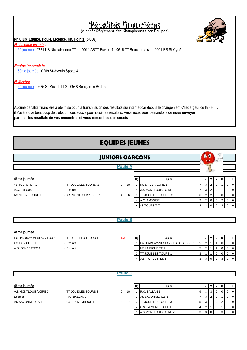# Pénalités financières

(d'après Règlement des Championnats par Equipes)

# **N° Club, Equipe, Poule, Licence, Clt, Points (5,00€)**

# *N° Licence erroné :*

6è journée : 0721 US Nicolaisienne TT 1 - 0011 ASTT Esvres 4 - 0615 TT Bouchardais 1 - 0001 RS St-Cyr 5

# *Equipe Incomplète :*

6ème journée : 0269 St-Avertin Sports 4

# *N°Equipe :*

6è journée : 0625 St-Michel TT 2 - 0548 Beaujardin BCT 5

il s'avère que beaucoup de clubs ont des soucis pour saisir les résultats. Aussi nous vous demandons de **nous envoyer par mail les résultats de vos rencontres si vous rencontrez des soucis**. Aucune pénalité financière a été mise pour la transmission des résultats sur internet car depuis le changement d'hébergeur de la FFTT,

# **EQUIPES JEUNES**

|                          | $\bullet$<br><b>JUNIORS GARCONS</b>                                               |                     |   |                            |                |                |             |   |                |                |                |
|--------------------------|-----------------------------------------------------------------------------------|---------------------|---|----------------------------|----------------|----------------|-------------|---|----------------|----------------|----------------|
|                          | <b>Poule A</b>                                                                    |                     |   |                            |                |                |             |   |                |                |                |
| 4ème journée             | Equipe<br>Rg<br>$\mathbf 0$<br>1 RS ST CYR/LOIRE 1<br>- TT JOUE LES TOURS 2<br>10 |                     |   | PT                         | J              | V              | N           | D |                | PF             |                |
| 4S TOURS T.T. 1          |                                                                                   |                     |   |                            | $\overline{7}$ | 3              | 2           |   |                | $\Omega$       | $\Omega$       |
| A.C. AMBOISE 1           | - Exempt                                                                          |                     | ۰ | A.S MONTLOUIS/LOIRE 1      | $\overline{7}$ | 3              | 2           | 0 |                | $\overline{0}$ | $\overline{0}$ |
| <b>RS ST CYR/LOIRE 1</b> | - A.S MONTLOUIS/LOIRE 1                                                           | $\overline{4}$<br>6 | 3 | <b>TT JOUE LES TOURS 2</b> | 6              | $\overline{2}$ | 2           | 0 | 0              | 0              | $\mathbf 0$    |
|                          |                                                                                   |                     |   | 4 A.C. AMBOISE 1           | $\overline{2}$ | $\overline{2}$ | $\mathbf 0$ | 0 | $\overline{2}$ | $\overline{0}$ | $\overline{0}$ |
|                          |                                                                                   |                     | ۰ | 4S TOURS T.T. 1            | $\overline{2}$ | 2              | $\mathbf 0$ | 0 | 2              | $\mathbf 0$    | $\overline{0}$ |
|                          |                                                                                   |                     |   |                            |                |                |             |   |                |                |                |
|                          |                                                                                   | <b>Poule B</b>      |   |                            |                |                |             |   |                |                |                |

## **4ème journée**

Ent. PARCAY-MESLAY / ESO 1 - TT JOUE LES TOURS 1 US LA RICHE TT 1 - Exempt A.S. FONDETTES 1 - Exempt

- 
- 

NJ

| Rg | Equipe                             | PТ |   |  |  |  |
|----|------------------------------------|----|---|--|--|--|
|    | Ent. PARCAY-MESLAY / ES OESIENNE 1 | 5  | າ |  |  |  |
|    | US LA RICHE TT 1                   | 5  | າ |  |  |  |
| 3  | IT JOUE LES TOURS 1                | 3  |   |  |  |  |
|    | A.S. FONDETTES 1                   | 3  |   |  |  |  |

| <b>Poule C</b>        |                       |   |    |                                 |           |     |                |              |     |   |  |  |
|-----------------------|-----------------------|---|----|---------------------------------|-----------|-----|----------------|--------------|-----|---|--|--|
| 4ème journée          |                       |   |    | Equipe<br>Rg                    | <b>PT</b> |     | v              |              | D I | P |  |  |
| A.S MONTLOUIS/LOIRE 2 | - TT JOUE LES TOURS 3 | 0 | 10 | R.C. BALLAN 1                   | 9         | 3 I | 3              | U            |     |   |  |  |
| Exempt                | - R.C. BALLAN 1       |   |    | AS SAVONNIERES 1                |           | 3   | 2 <sub>1</sub> |              |     |   |  |  |
| AS SAVONNIERES 1      | - C.S. LA MEMBROLLE 1 | 3 |    | JOUE LES TOURS 3<br>тт          | 5         | З   |                | $^{\circ}$   | 2   |   |  |  |
|                       |                       |   |    | <b>C.S. LA MEMBROLLE 1</b><br>4 | 4         |     |                |              |     |   |  |  |
|                       |                       |   |    | 5 A.S MONTLOUIS/LOIRE 2         | 3         |     | 30             | $\mathbf{0}$ |     |   |  |  |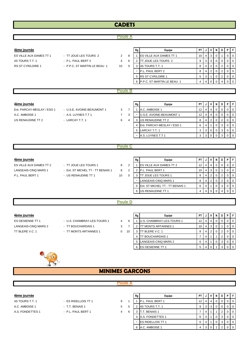# **CADETS**

# **Poule A**

| 4ème journée            |                              |    |    | Rg | Equipe                         | PT I            |     |     | D | PIF |                |
|-------------------------|------------------------------|----|----|----|--------------------------------|-----------------|-----|-----|---|-----|----------------|
| ES VILLE AUX DAMES TT 1 | - TT JOUE LES TOURS 2        | 2  | 8  |    | <b>ES VILLE AUX DAMES TT 1</b> | 10 <sub>1</sub> |     | 4 3 |   |     | l 0            |
| 4S TOURS T.T. 1         | - P.L. PAUL BERT 2           | 4  | -6 |    | <b>JOUE LES TOURS 2</b>        | 9               | 3 I | 3   |   |     | $\overline{0}$ |
| RS ST CYR/LOIRE 1       | - P.P.C. ST MARTIN LE BEAU 1 | 10 |    |    | 4S TOURS T.T. 1                | 8               | 41  |     |   |     | $\overline{0}$ |
|                         |                              |    |    | ۰  | P.L. PAUL BERT 2               | 8               | 41  |     |   |     | $\overline{0}$ |
|                         |                              |    |    |    | 5 <b>IRS ST CYR/LOIRE 1</b>    | 5               |     |     |   |     | $\overline{0}$ |
|                         |                              |    |    |    | 6 P.P.C. ST MARTIN LE BEAU 1   |                 | 4 I |     |   |     | $\overline{0}$ |
|                         |                              |    |    |    |                                |                 |     |     |   |     |                |

# **Poule B**

| 4ème journée               |                            |   |   | Rg | Equipe                     | PT I | JIV | D I | PIF |                |
|----------------------------|----------------------------|---|---|----|----------------------------|------|-----|-----|-----|----------------|
| Ent. PARCAY-MESLAY / ESO 1 | - U.S.E. AVOINE-BEAUMONT 1 | 3 |   |    | A.C. AMBOISE 1             | 12   | 414 |     |     | $\overline{0}$ |
| A.C. AMBOISE 1             | - A.S. LUYNES T.T 1        |   |   |    | U.S.E. AVOINE-BEAUMONT 1   | 12   | 414 |     |     | $\overline{0}$ |
| US RENAUDINE TT 2          | - LARCAY T.T. 1            | 6 | 4 |    | US RENAUDINE TT 2          | 8    | 4 2 |     |     | $\overline{0}$ |
|                            |                            |   |   |    | Ent. PARCAY-MESLAY / ESO 1 | 6    |     |     |     | I O            |
|                            |                            |   |   |    | 5 LARCAY T.T. 1            |      | 30  |     |     | <b>10</b>      |
|                            |                            |   |   |    | A.S. LUYNES T.T 1          |      | 310 |     |     | $\overline{0}$ |

## **Poule C**

| 4ème journée            |                                   |    |  | Rg | Equipe                            | <b>PT</b> |               | N        |   | PF               |
|-------------------------|-----------------------------------|----|--|----|-----------------------------------|-----------|---------------|----------|---|------------------|
| ES VILLE AUX DAMES TT 2 | - TT JOUE LES TOURS 1             | 8  |  |    | <b>ES VILLE AUX DAMES TT 2</b>    | 12        |               |          |   | $\overline{1}$ 0 |
| LANGEAIS-CINQ MARS 1    | - Ent. ST MICHEL TT - TT BENAIS 1 | 8  |  |    | <b>P.L. PAUL BERT 1</b>           |           | 3             |          |   | $\overline{1}$ 0 |
| P.L. PAUL BERT 1        | - US RENAUDINE TT 1               | 10 |  |    | <b>ITT JOUE LES TOURS 1</b>       | 8         |               |          |   | $\overline{1}$ 0 |
|                         |                                   |    |  |    | LANGEAIS-CINQ MARS 1              | 8         | $^{\circ}$ 2. | $\Omega$ |   | $01$ 0           |
|                         |                                   |    |  |    | 5 Ent. ST MICHEL TT - TT BENAIS 1 | 6         |               | 0        | 3 | $\overline{1}$ 0 |
|                         |                                   |    |  |    | 6 US RENAUDINE TT 1               |           |               |          |   | $\overline{1}$ 0 |
|                         |                                   |    |  |    |                                   |           |               |          |   |                  |

# **Poule D**

- ES OESIENNE TT 1 U.S. CHAMBRAY-LES-TOURS 1 4 6 LANGEAIS-CINQ MARS 2 - TT BOUCHARDAIS 1 3 7
- TT BLERE V.C. 1 TT MONTS ARTANNES 1 0 10

| 4ème journée         |                             |   |    | Rg | Equipe                      | PT I              |   |  | PF             |
|----------------------|-----------------------------|---|----|----|-----------------------------|-------------------|---|--|----------------|
| ES OESIENNE TT 1     | - U.S. CHAMBRAY-LES-TOURS 1 | 4 | 6  |    | U.S. CHAMBRAY-LES-TOURS 1   | 12 <sub>1</sub>   | 4 |  | $01$ 0         |
| LANGEAIS-CINQ MARS 2 | - TT BOUCHARDAIS 1          | 3 |    |    | <b>ITT MONTS ARTANNES 1</b> | 10 $\blacksquare$ |   |  | $\overline{0}$ |
| TT BLERE V.C. 1      | - TT MONTS ARTANNES 1       | 0 | 10 |    | <b>ITT BLERE V.C. 1</b>     | 8                 |   |  | $\overline{0}$ |
|                      |                             |   |    |    | <b>ITT BOUCHARDAIS 1</b>    |                   |   |  | 0 1 0          |
|                      |                             |   |    |    | 5 LANGEAIS-CINQ MARS 2      |                   |   |  | $\overline{0}$ |
|                      |                             |   |    |    | <b>IES OESIENNE TT 1</b>    |                   |   |  | $\overline{0}$ |



# **MINIMES GARCONS**

## **Poule A**

- 4S TOURS T.T. 1 **ES RIDELLOIS TT 1** 9 A.C. AMBOISE 1 - T.T. BENAIS 1 5 A.S. FONDETTES 1 - P.L. PAUL BERT 1 4
	-
	-
	-

| 4ème journée     |                     |         | Rg | Equipe                    | <b>PT</b> |  | N            | D | PFI                      |
|------------------|---------------------|---------|----|---------------------------|-----------|--|--------------|---|--------------------------|
| 4S TOURS T.T. 1  | - ES RIDELLOIS TT 1 | 9       |    | P.L. PAUL BERT 1          |           |  | 0            |   | $\overline{101}$         |
| A.C. AMBOISE 1   | - T.T. BENAIS 1     | 5.<br>5 |    | 4S TOURS T.T. 1           | 9         |  |              |   | $\overline{\phantom{0}}$ |
| A.S. FONDETTES 1 | - P.L. PAUL BERT 1  | 6<br>4  |    | T.T. BENAIS 1             |           |  |              |   | $\overline{\phantom{0}}$ |
|                  |                     |         |    | 4 A.S. FONDETTES 1        | 6         |  | $\mathbf{0}$ |   | $\overline{0}$           |
|                  |                     |         |    | <b>IES RIDELLOIS TT 1</b> | 6         |  |              |   | $\circ$ 1                |
|                  |                     |         |    | 6 A.C. AMBOISE 1          |           |  |              |   | $\overline{0}$           |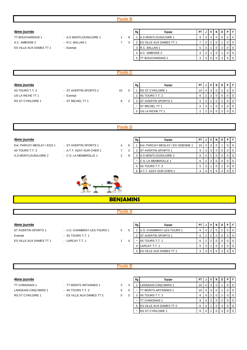# **Poule B**

- 
- 
- **4ème journée Rg Equipe PT J V N D P F** TT BOUCHARDAIS 1 - A.S. MONTLOUIS/LOIRE 1 1 9 1 A.S. MONTLOUIS/LOIRE 1 9 3 3 0 0 0 0 0 A.C. AMBOISE 2 - R.C. BALLAN 1 7 3 2 ES VILLE AUX DAMES TT 1  $7 \cdot 3$  2  $\cdot 2$   $\cdot 6$  1 0 0 ES VILLE AUX DAMES TT 1 - Exempt 3 R.C. BALLAN 1 5 3 1 0 2 0 0 4 A.C. AMBOISE 2 4 2 1 0 1 0 0 5 TT BOUCHARDAIS 1 3 3 0 0 3 0

## **Poule C**

| 4ème journée      |                       |    | Rg | Equipe                     | <b>PT</b> |        | N | D | PF             |
|-------------------|-----------------------|----|----|----------------------------|-----------|--------|---|---|----------------|
| 4S TOURS T.T. 2   | - ST AVERTIN SPORTS 2 | 10 |    | <b>IRS ST CYR/LOIRE 1</b>  |           | 10   4 |   |   | $\overline{0}$ |
| US LA RICHE TT 1  | - Exempt              |    |    | 2 4S TOURS T.T. 2          |           | ົ      |   |   | $\overline{0}$ |
| RS ST CYR/LOIRE 1 | - ST MICHEL TT 1      | 8  |    | <b>ST AVERTIN SPORTS 2</b> |           |        |   |   | $\overline{0}$ |
|                   |                       |    |    | <b>IST MICHEL TT 1</b>     |           |        |   |   | $\overline{0}$ |
|                   |                       |    |    | 5 US LA RICHE TT 1         |           |        |   |   | $\overline{0}$ |

# **Poule D**

| 4ème journée               |                          |   |    | Rg | Equipe                                    | PT.             |   | V I   | N | D | PF             |
|----------------------------|--------------------------|---|----|----|-------------------------------------------|-----------------|---|-------|---|---|----------------|
| Ent. PARCAY-MESLAY / ESO 1 | - ST AVERTIN SPORTS 1    |   | -6 |    | <b>IEnt. PARCAY-MESLAY / ES OSIENNE 1</b> | 10 <sup>1</sup> | 4 |       |   |   | $\Omega$       |
| 4S TOURS T.T. 3            | - A.T.T. AZAY-SUR-CHER 1 |   | 3  |    | <b>IST AVERTIN SPORTS 1</b>               |                 |   | 3 3 1 |   |   | $01$ 0         |
| A.S MONTLOUIS/LOIRE 2      | - C.S. LA MEMBROLLE 1    | 2 | 8  |    | <b>A.S MONTLOUIS/LOIRE 2</b>              |                 | 4 |       |   |   | $\Omega$       |
|                            |                          |   |    |    | <b>C.S. LA MEMBROLLE 1</b>                |                 |   |       |   |   | $\overline{0}$ |
|                            |                          |   |    |    | 4S TOURS T.T. 3                           |                 |   |       |   |   | $\overline{0}$ |
|                            |                          |   |    |    | <b>IA.T.T. AZAY-SUR-CHER 1</b>            |                 | 4 |       |   |   | - 0            |



# **BENJAMINS**

## **Poule A**

**4ème journée Rg Equipe PT J V N D P F** ST AVERTIN SPORTS 1 - U.S. CHAMBRAY-LES-TOURS 1 5 0 1 U.S. CHAMBRAY-LES-TOURS 1 8 4 2 0 2 0 0 Exempt  $-$  4S TOURS T.T. 1 2 ST AVERTIN SPORTS 1 6 2 2 0 0 0 0 0 ES VILLE AUX DAMES TT 1 - LARCAY T.T. 1 1 4 - 4S TOURS T.T. 1 6 2 2 0 0 0 0 0 4 LARCAY T.T. 1 5 3 1 0 2 0 0 5 ES VILLE AUX DAMES TT 1 3 3 0 0

## **Poule B**

- 
- RS ST CYR/LOIRE 1 ES VILLE AUX DAMES TT 2 0 5

| 4ème journée         |                           |   |   | Rg | Equipe                            | <b>PT</b> |   |    | N |  | PFI                                                 |
|----------------------|---------------------------|---|---|----|-----------------------------------|-----------|---|----|---|--|-----------------------------------------------------|
| TT CHINONAIS 1       | - TT MONTS ARTANNES 1     | 2 |   |    | LANGEAIS-CINQ MARS 1              |           |   |    |   |  | $\overline{0}$                                      |
| LANGEAIS-CINQ MARS 1 | - 4S TOURS T.T. 3         | 5 |   |    | <b>TT MONTS ARTANNES 1</b>        | 10 I      | 4 | -3 |   |  | $\overline{\phantom{0}}$ 0 $\overline{\phantom{0}}$ |
| RS ST CYR/LOIRE 1    | - ES VILLE AUX DAMES TT 2 | 0 | 5 |    | 4S TOURS T.T. 3                   |           |   |    |   |  | $\overline{1}$ 0                                    |
|                      |                           |   |   |    | TT CHINONAIS 1                    |           |   |    |   |  | $\overline{\phantom{0}}$ 0 $\overline{\phantom{0}}$ |
|                      |                           |   |   |    | 5 <b>IES VILLE AUX DAMES TT 2</b> | 6         |   |    | 0 |  | $\overline{1}$ 0                                    |
|                      |                           |   |   |    | <b>RS ST CYR/LOIRE 1</b>          | 6         |   |    |   |  | $\overline{1}$ 0                                    |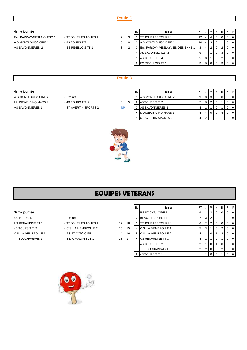- -

| P. | - F      |
|----|----------|
|    | - 0      |
|    | $\Omega$ |
|    | - 0      |
|    | $\Omega$ |
|    | $\Omega$ |
|    | $\Omega$ |
|    |          |

# **Poule D**

- -

| 4ème journée          |                       |           | Rg | Equipe                        | PT |  | N | PIF |  |
|-----------------------|-----------------------|-----------|----|-------------------------------|----|--|---|-----|--|
| A.S MONTLOUIS/LOIRE 2 | - Exempt              |           |    | <b>IA.S MONTLOUIS/LOIRE 2</b> | 9  |  |   |     |  |
| LANGEAIS-CINQ MARS 2  | - 4S TOURS T.T. 2     | 0         |    | <b>IAS TOURS T.T. 2</b>       |    |  |   |     |  |
| AS SAVONNIERES 1      | - ST AVERTIN SPORTS 2 | <b>NP</b> |    | 3 AS SAVONNIERES 1            |    |  |   |     |  |
|                       |                       |           |    | LANGEAIS-CINQ MARS 2          |    |  |   |     |  |
|                       |                       |           |    | <b>IST AVERTIN SPORTS 2</b>   |    |  |   |     |  |



# **EQUIPES VETERANS**

- 
- 
- 
- 
- 

|                     |                       |                 |    | Rg | Equipe                      | PT I | J              |                | <b>N</b> | D | <b>P</b> IF    |
|---------------------|-----------------------|-----------------|----|----|-----------------------------|------|----------------|----------------|----------|---|----------------|
| 3ème journée        |                       |                 |    |    | <b>RS ST CYR/LOIRE 1</b>    | 9    | 3 I            | - 3            |          | 0 | $01$ 0         |
| 4S TOURS T.T. 1     | - Exempt              |                 |    |    | <b>BEAUJARDIN BCT 1</b>     |      | 3 I            | $^{\circ}$ 2   |          |   | 0 <sub>0</sub> |
| US RENAUDINE TT 1   | - TT JOUE LES TOURS 1 | 12 <sup>2</sup> | 18 | 3  | <b>ITT JOUE LES TOURS 1</b> | 6    | 2 <sup>1</sup> |                |          |   | $0$   0        |
| 4S TOURS T.T. 2     | - C.S. LA MEMBROLLE 2 | 15              | 15 |    | <b>C.S. LA MEMBROLLE 1</b>  | 5    | 3              |                |          | 2 | $0$   0        |
| C.S. LA MEMBROLLE 1 | - RS ST CYR/LOIRE 1   | 14              | 16 | 5  | <b>C.S. LA MEMBROLLE 2</b>  |      | 3 I            |                |          | 2 | $01$ 0         |
| TT BOUCHARDAIS 1    | - BEAUJARDIN BCT 1    | 13              | 17 |    | US RENAUDINE TT 1           | 4    |                |                |          |   | 0 <sub>0</sub> |
|                     |                       |                 |    |    | 4S TOURS T.T. 2             |      |                |                |          | 0 | $01$ 0         |
|                     |                       |                 |    |    | TT BOUCHARDAIS 1            |      | 2 0            |                | 0        | 2 | $01$ 0         |
|                     |                       |                 |    | 9  | 4S TOURS T.T. 1             |      |                | 0 <sup>1</sup> |          |   | $01$ 0         |